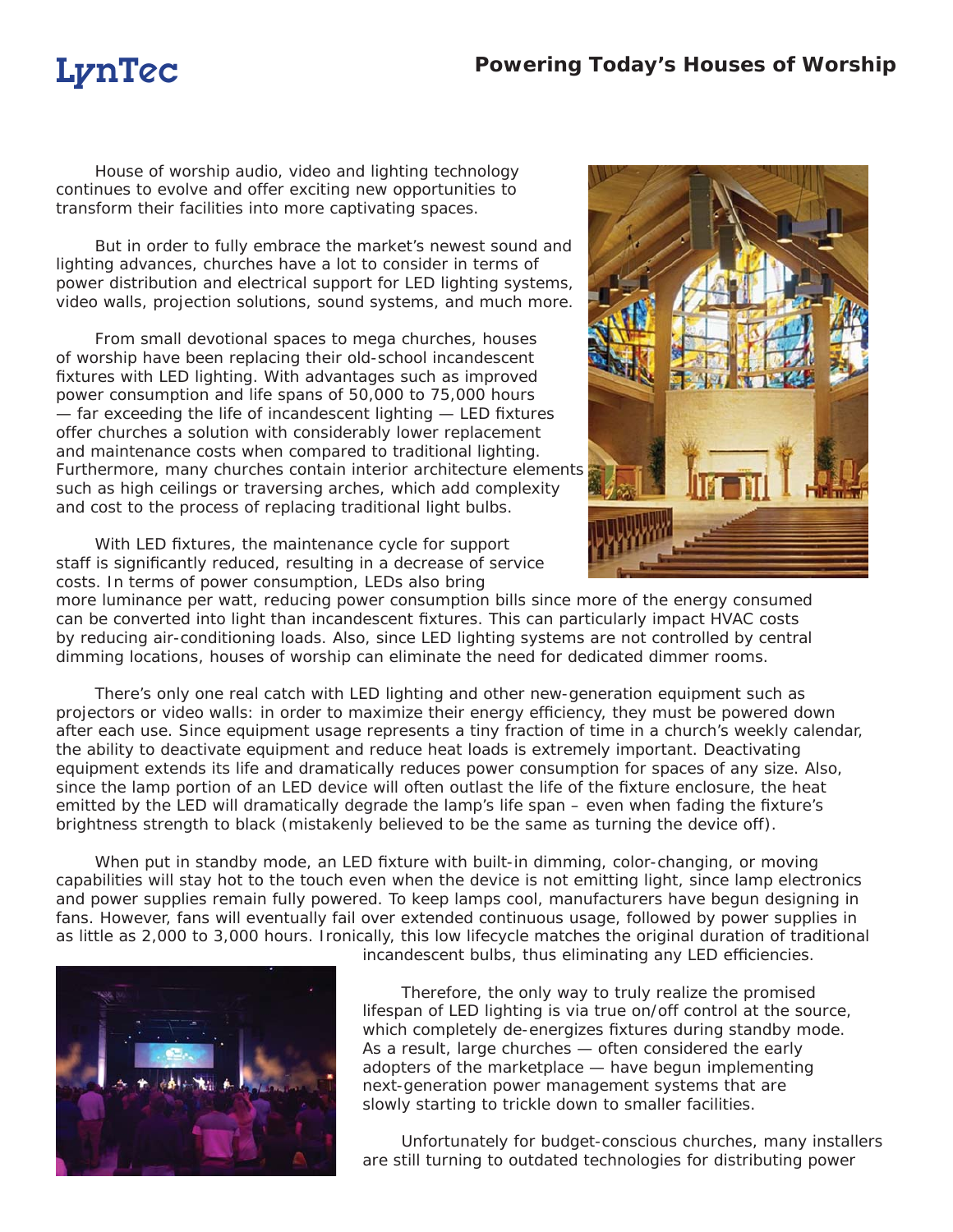House of worship audio, video and lighting technology continues to evolve and offer exciting new opportunities to transform their facilities into more captivating spaces.

But in order to fully embrace the market's newest sound and lighting advances, churches have a lot to consider in terms of power distribution and electrical support for LED lighting systems, video walls, projection solutions, sound systems, and much more.

From small devotional spaces to mega churches, houses of worship have been replacing their old-school incandescent fixtures with LED lighting. With advantages such as improved power consumption and life spans of 50,000 to 75,000 hours  $-$  far exceeding the life of incandescent lighting  $-$  LED fixtures offer churches a solution with considerably lower replacement and maintenance costs when compared to traditional lighting. Furthermore, many churches contain interior architecture elements such as high ceilings or traversing arches, which add complexity and cost to the process of replacing traditional light bulbs.

With LED fixtures, the maintenance cycle for support staff is significantly reduced, resulting in a decrease of service costs. In terms of power consumption, LEDs also bring



more luminance per watt, reducing power consumption bills since more of the energy consumed can be converted into light than incandescent fixtures. This can particularly impact HVAC costs by reducing air-conditioning loads. Also, since LED lighting systems are not controlled by central dimming locations, houses of worship can eliminate the need for dedicated dimmer rooms.

There's only one real catch with LED lighting and other new-generation equipment such as projectors or video walls: in order to maximize their energy efficiency, they must be powered down after each use. Since equipment usage represents a tiny fraction of time in a church's weekly calendar, the ability to deactivate equipment and reduce heat loads is extremely important. Deactivating equipment extends its life and dramatically reduces power consumption for spaces of any size. Also, since the lamp portion of an LED device will often outlast the life of the fixture enclosure, the heat emitted by the LED will dramatically degrade the lamp's life span – even when fading the fixture's brightness strength to black (mistakenly believed to be the same as turning the device off).

When put in standby mode, an LED fixture with built-in dimming, color-changing, or moving capabilities will stay hot to the touch even when the device is not emitting light, since lamp electronics and power supplies remain fully powered. To keep lamps cool, manufacturers have begun designing in fans. However, fans will eventually fail over extended continuous usage, followed by power supplies in as little as 2,000 to 3,000 hours. Ironically, this low lifecycle matches the original duration of traditional



incandescent bulbs, thus eliminating any LED efficiencies.

Therefore, the only way to truly realize the promised lifespan of LED lighting is via true on/off control at the source, which completely de-energizes fixtures during standby mode. As a result, large churches — often considered the early adopters of the marketplace — have begun implementing next-generation power management systems that are slowly starting to trickle down to smaller facilities.

Unfortunately for budget-conscious churches, many installers are still turning to outdated technologies for distributing power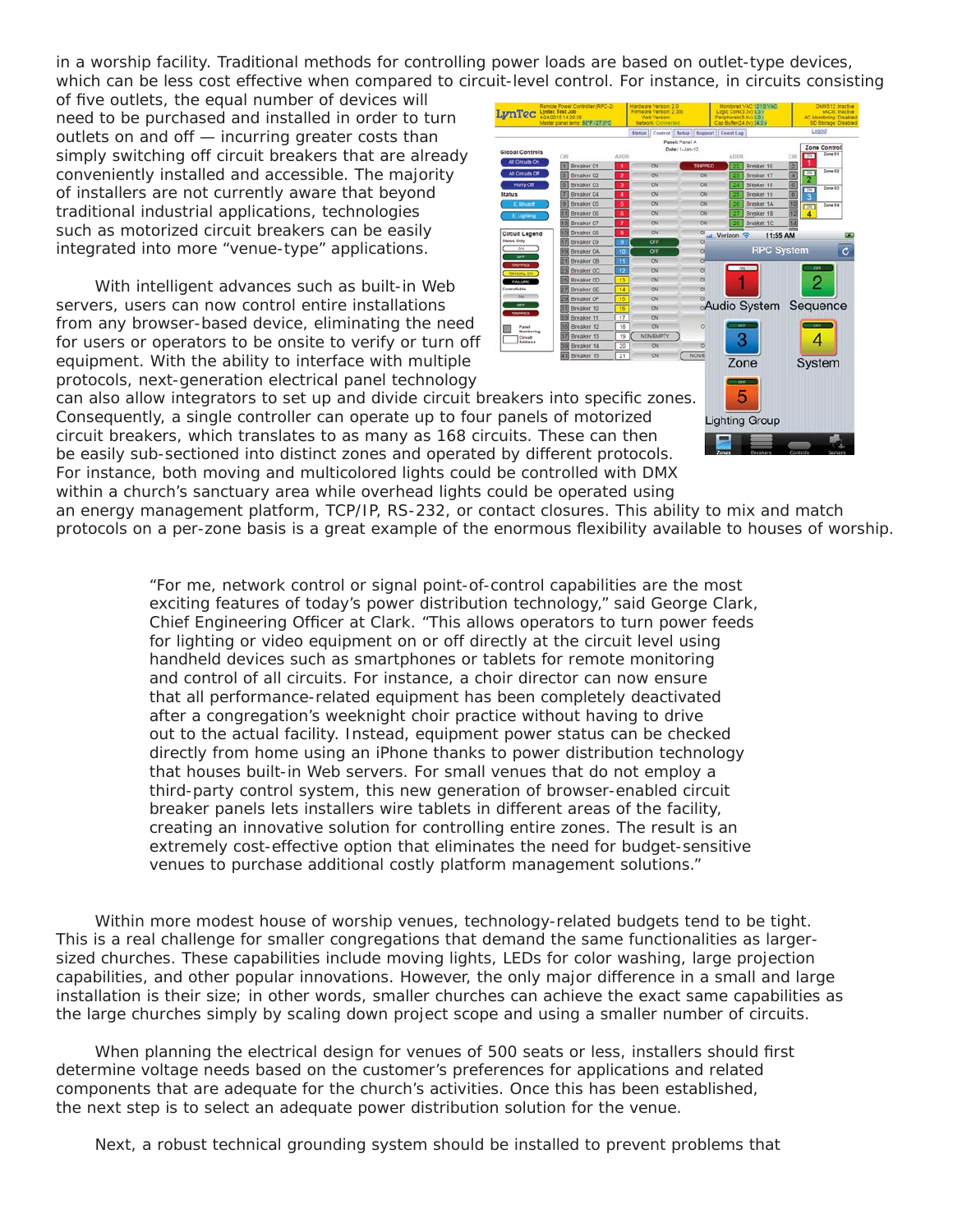in a worship facility. Traditional methods for controlling power loads are based on outlet-type devices, which can be less cost effective when compared to circuit-level control. For instance, in circuits consisting

of five outlets, the equal number of devices will need to be purchased and installed in order to turn outlets on and off — incurring greater costs than simply switching off circuit breakers that are already conveniently installed and accessible. The majority of installers are not currently aware that beyond traditional industrial applications, technologies such as motorized circuit breakers can be easily integrated into more "venue-type" applications.

With intelligent advances such as built-in Web servers, users can now control entire installations from any browser-based device, eliminating the need for users or operators to be onsite to verify or turn off equipment. With the ability to interface with multiple protocols, next-generation electrical panel technology



can also allow integrators to set up and divide circuit breakers into specific zones. Consequently, a single controller can operate up to four panels of motorized circuit breakers, which translates to as many as 168 circuits. These can then be easily sub-sectioned into distinct zones and operated by different protocols. For instance, both moving and multicolored lights could be controlled with DMX within a church's sanctuary area while overhead lights could be operated using

an energy management platform, TCP/IP, RS-232, or contact closures. This ability to mix and match protocols on a per-zone basis is a great example of the enormous flexibility available to houses of worship.

> "For me, network control or signal point-of-control capabilities are the most exciting features of today's power distribution technology," said George Clark, Chief Engineering Officer at Clark. "This allows operators to turn power feeds for lighting or video equipment on or off directly at the circuit level using handheld devices such as smartphones or tablets for remote monitoring and control of all circuits. For instance, a choir director can now ensure that all performance-related equipment has been completely deactivated after a congregation's weeknight choir practice without having to drive out to the actual facility. Instead, equipment power status can be checked directly from home using an iPhone thanks to power distribution technology that houses built-in Web servers. For small venues that do not employ a third-party control system, this new generation of browser-enabled circuit breaker panels lets installers wire tablets in different areas of the facility, creating an innovative solution for controlling entire zones. The result is an extremely cost-effective option that eliminates the need for budget-sensitive venues to purchase additional costly platform management solutions."

Within more modest house of worship venues, technology-related budgets tend to be tight. This is a real challenge for smaller congregations that demand the same functionalities as largersized churches. These capabilities include moving lights, LEDs for color washing, large projection capabilities, and other popular innovations. However, the only major difference in a small and large installation is their size; in other words, smaller churches can achieve the exact same capabilities as the large churches simply by scaling down project scope and using a smaller number of circuits.

When planning the electrical design for venues of 500 seats or less, installers should first determine voltage needs based on the customer's preferences for applications and related components that are adequate for the church's activities. Once this has been established, the next step is to select an adequate power distribution solution for the venue.

Next, a robust technical grounding system should be installed to prevent problems that